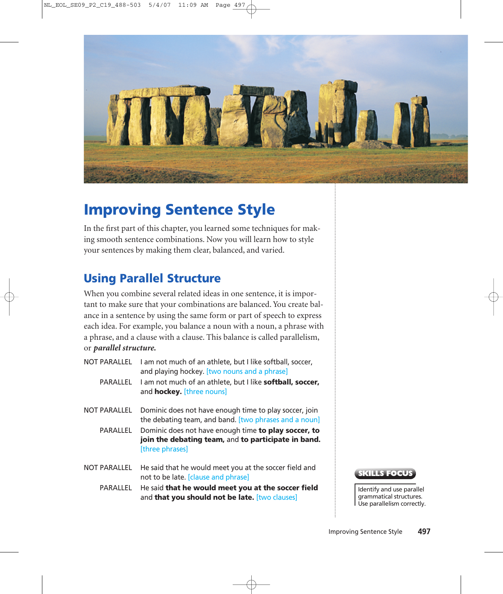

# **Improving Sentence Style**

In the first part of this chapter, you learned some techniques for making smooth sentence combinations. Now you will learn how to style your sentences by making them clear, balanced, and varied.

### **Using Parallel Structure**

When you combine several related ideas in one sentence, it is important to make sure that your combinations are balanced. You create balance in a sentence by using the same form or part of speech to express each idea. For example, you balance a noun with a noun, a phrase with a phrase, and a clause with a clause. This balance is called parallelism, or *parallel structure.*

|                     | NOT PARALLEL I am not much of an athlete, but I like softball, soccer,<br>and playing hockey. [two nouns and a phrase]         |
|---------------------|--------------------------------------------------------------------------------------------------------------------------------|
| PARALLEL            | I am not much of an athlete, but I like <b>softball, soccer,</b><br>and <b>hockey.</b> [three nouns]                           |
| <b>NOT PARALLEL</b> | Dominic does not have enough time to play soccer, join<br>the debating team, and band. [two phrases and a noun]                |
| PARALLEL            | Dominic does not have enough time to play soccer, to<br>join the debating team, and to participate in band.<br>[three phrases] |
| NOT PARALLEL        | He said that he would meet you at the soccer field and<br>not to be late. [clause and phrase]                                  |

PARALLEL He said **that he would meet you at the soccer field** and **that you should not be late.** [two clauses]



Identify and use parallel grammatical structures. Use parallelism correctly.